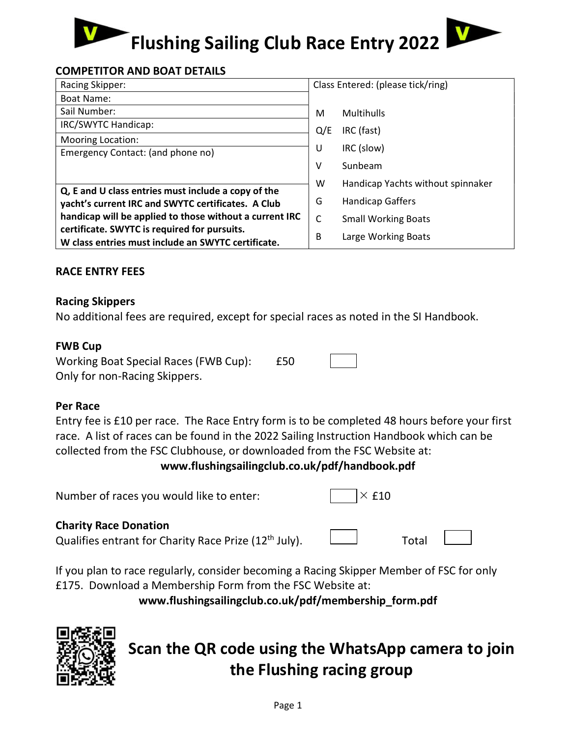# Flushing Sailing Club Race Entry 2022

# COMPETITOR AND BOAT DETAILS

| Racing Skipper:                                         | Class Entered: (please tick/ring) |                                   |
|---------------------------------------------------------|-----------------------------------|-----------------------------------|
| Boat Name:                                              |                                   |                                   |
| Sail Number:                                            | м                                 | <b>Multihulls</b>                 |
| IRC/SWYTC Handicap:                                     | Q/E                               | IRC (fast)                        |
| <b>Mooring Location:</b>                                |                                   |                                   |
| Emergency Contact: (and phone no)                       | U                                 | IRC (slow)                        |
|                                                         | v                                 | Sunbeam                           |
|                                                         | w                                 | Handicap Yachts without spinnaker |
| Q, E and U class entries must include a copy of the     |                                   |                                   |
| yacht's current IRC and SWYTC certificates. A Club      | G                                 | <b>Handicap Gaffers</b>           |
| handicap will be applied to those without a current IRC | C                                 | <b>Small Working Boats</b>        |
| certificate. SWYTC is required for pursuits.            |                                   |                                   |
| W class entries must include an SWYTC certificate.      | B                                 | Large Working Boats               |

## RACE ENTRY FEES

#### Racing Skippers

No additional fees are required, except for special races as noted in the SI Handbook.

#### FWB Cup

| Working Boat Special Races (FWB Cup): | £50 |  |
|---------------------------------------|-----|--|
| Only for non-Racing Skippers.         |     |  |

#### Per Race

Entry fee is £10 per race. The Race Entry form is to be completed 48 hours before your first race. A list of races can be found in the 2022 Sailing Instruction Handbook which can be collected from the FSC Clubhouse, or downloaded from the FSC Website at:

www.flushingsailingclub.co.uk/pdf/handbook.pdf

| Number of races you would like to enter: | $\sqrt{X}$ £10 |
|------------------------------------------|----------------|
|                                          |                |

## Charity Race Donation

Qualifies entrant for Charity Race Prize  $(12<sup>th</sup>$  July).  $\Box$  Total

If you plan to race regularly, consider becoming a Racing Skipper Member of FSC for only £175. Download a Membership Form from the FSC Website at:

www.flushingsailingclub.co.uk/pdf/membership\_form.pdf



# Scan the QR code using the WhatsApp camera to join the Flushing racing group